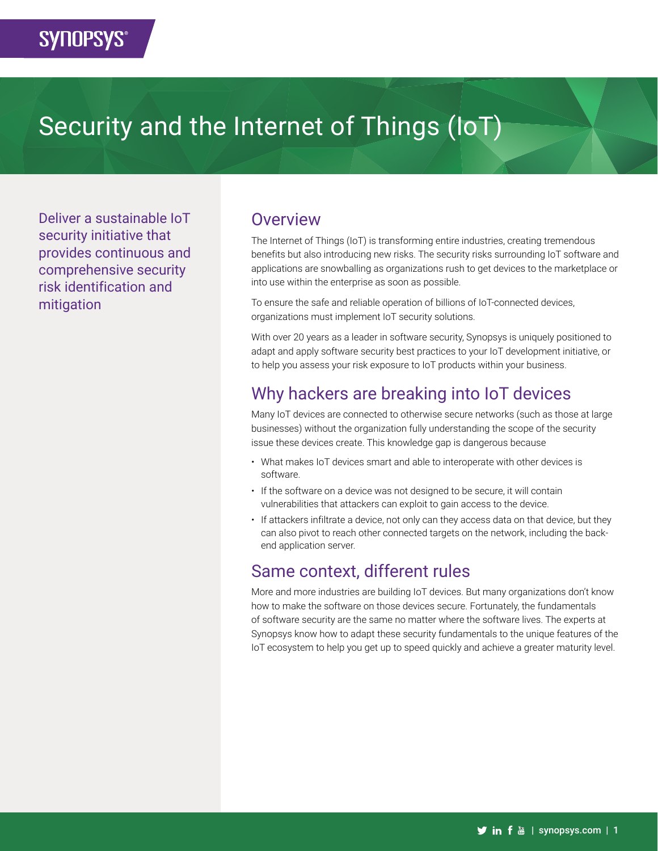# Security and the Internet of Things (IoT)

Deliver a sustainable IoT security initiative that provides continuous and comprehensive security risk identification and mitigation

#### **Overview**

The Internet of Things (IoT) is transforming entire industries, creating tremendous benefits but also introducing new risks. The security risks surrounding IoT software and applications are snowballing as organizations rush to get devices to the marketplace or into use within the enterprise as soon as possible.

To ensure the safe and reliable operation of billions of IoT-connected devices, organizations must implement IoT security solutions.

With over 20 years as a leader in software security, Synopsys is uniquely positioned to adapt and apply software security best practices to your IoT development initiative, or to help you assess your risk exposure to IoT products within your business.

## Why hackers are breaking into IoT devices

Many IoT devices are connected to otherwise secure networks (such as those at large businesses) without the organization fully understanding the scope of the security issue these devices create. This knowledge gap is dangerous because

- What makes IoT devices smart and able to interoperate with other devices is software.
- If the software on a device was not designed to be secure, it will contain vulnerabilities that attackers can exploit to gain access to the device.
- If attackers infiltrate a device, not only can they access data on that device, but they can also pivot to reach other connected targets on the network, including the backend application server.

### Same context, different rules

More and more industries are building IoT devices. But many organizations don't know how to make the software on those devices secure. Fortunately, the fundamentals of software security are the same no matter where the software lives. The experts at Synopsys know how to adapt these security fundamentals to the unique features of the IoT ecosystem to help you get up to speed quickly and achieve a greater maturity level.